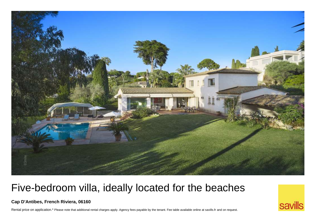

# Five-bedroom villa, ideally located for the beaches

# Available for short term rent via Savills Seasonal **Cap D'Antibes, French Riviera, 06160**

Rental price on application.\* Please note that additional rental charges apply. Agency fees payable by the tenant. Fee table available online at savills.fr and on request.

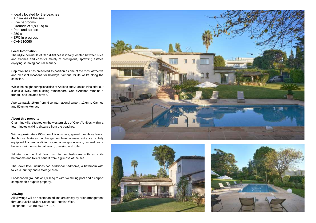- Ideally located for the beaches
- A glimpse of the sea
- Five bedrooms
- Grounds of 1,800 sq m
- Pool and carport
- 250 sq m
- EPC in progress
- CAN210060

## **Local Information**

The idyllic peninsula of Cap d'Antibes is ideally located between Nice and Cannes and consists mainly of prestigious, sprawling estates enjoying stunning natural scenery.

Cap d'Antibes has preserved its position as one of the most attractive and pleasant locations for holidays, famous for its walks along the coastline.

While the neighbouring localities of Antibes and Juan les Pins offer our clients a lively and bustling atmosphere, Cap d'Antibes remains a tranquil and isolated haven.

Approximately 16km from Nice international airport, 12km to Cannes and 50km to Monaco.

### **About this property**

Charming villa, situated on the western side of Cap d'Antibes, within a few minutes walking distance from the beaches.

With approximately 250 sq m of living space, spread over three levels, the house features on the garden level a main entrance, a fully equipped kitchen, a dining room, a reception room, as well as a bedroom with en suite bathroom, dressing and toilet.

Situated on the first floor, two further bedrooms with en suite bathrooms and toilets benefit from a glimpse of the sea.

The lower level includes two additional bedrooms, a bathroom with toilet, a laundry and a storage area.

Landscaped grounds of 1,800 sq m with swimming pool and a carport complete this superb property.

### **Viewing**

All viewings will be accompanied and are strictly by prior arrangement through Savills Riviera Seasonal Rentals Office. Telephone: +33 (0) 493 874 115.





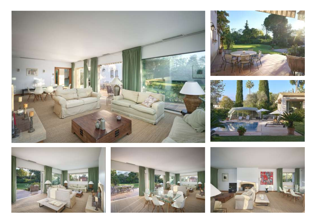